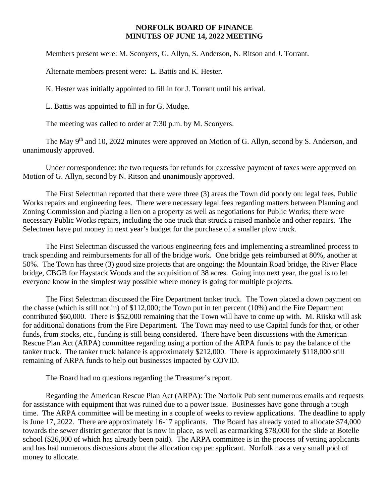## **NORFOLK BOARD OF FINANCE MINUTES OF JUNE 14, 2022 MEETING**

Members present were: M. Sconyers, G. Allyn, S. Anderson, N. Ritson and J. Torrant.

Alternate members present were: L. Battis and K. Hester.

K. Hester was initially appointed to fill in for J. Torrant until his arrival.

L. Battis was appointed to fill in for G. Mudge.

The meeting was called to order at 7:30 p.m. by M. Sconyers.

The May 9<sup>th</sup> and 10, 2022 minutes were approved on Motion of G. Allyn, second by S. Anderson, and unanimously approved.

Under correspondence: the two requests for refunds for excessive payment of taxes were approved on Motion of G. Allyn, second by N. Ritson and unanimously approved.

The First Selectman reported that there were three (3) areas the Town did poorly on: legal fees, Public Works repairs and engineering fees. There were necessary legal fees regarding matters between Planning and Zoning Commission and placing a lien on a property as well as negotiations for Public Works; there were necessary Public Works repairs, including the one truck that struck a raised manhole and other repairs. The Selectmen have put money in next year's budget for the purchase of a smaller plow truck.

The First Selectman discussed the various engineering fees and implementing a streamlined process to track spending and reimbursements for all of the bridge work. One bridge gets reimbursed at 80%, another at 50%. The Town has three (3) good size projects that are ongoing: the Mountain Road bridge, the River Place bridge, CBGB for Haystack Woods and the acquisition of 38 acres. Going into next year, the goal is to let everyone know in the simplest way possible where money is going for multiple projects.

The First Selectman discussed the Fire Department tanker truck. The Town placed a down payment on the chasse (which is still not in) of \$112,000; the Town put in ten percent (10%) and the Fire Department contributed \$60,000. There is \$52,000 remaining that the Town will have to come up with. M. Riiska will ask for additional donations from the Fire Department. The Town may need to use Capital funds for that, or other funds, from stocks, etc., funding is still being considered. There have been discussions with the American Rescue Plan Act (ARPA) committee regarding using a portion of the ARPA funds to pay the balance of the tanker truck. The tanker truck balance is approximately \$212,000. There is approximately \$118,000 still remaining of ARPA funds to help out businesses impacted by COVID.

The Board had no questions regarding the Treasurer's report.

Regarding the American Rescue Plan Act (ARPA): The Norfolk Pub sent numerous emails and requests for assistance with equipment that was ruined due to a power issue. Businesses have gone through a tough time. The ARPA committee will be meeting in a couple of weeks to review applications. The deadline to apply is June 17, 2022. There are approximately 16-17 applicants. The Board has already voted to allocate \$74,000 towards the sewer district generator that is now in place, as well as earmarking \$78,000 for the slide at Botelle school (\$26,000 of which has already been paid). The ARPA committee is in the process of vetting applicants and has had numerous discussions about the allocation cap per applicant. Norfolk has a very small pool of money to allocate.